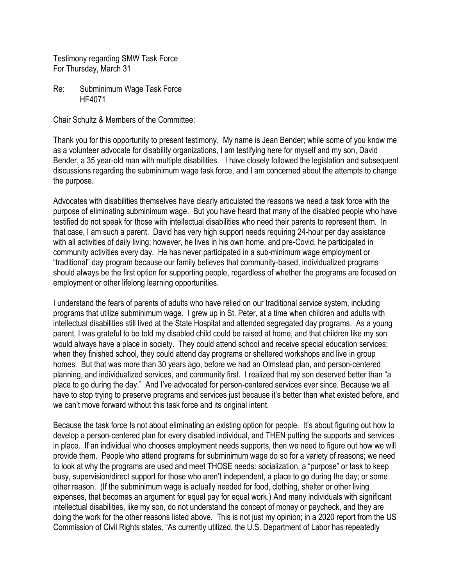Testimony regarding SMW Task Force For Thursday, March 31

Re: Subminimum Wage Task Force HF4071

Chair Schultz & Members of the Committee:

Thank you for this opportunity to present testimony. My name is Jean Bender; while some of you know me as a volunteer advocate for disability organizations, I am testifying here for myself and my son, David Bender, a 35 year-old man with multiple disabilities. I have closely followed the legislation and subsequent discussions regarding the subminimum wage task force, and I am concerned about the attempts to change the purpose.

Advocates with disabilities themselves have clearly articulated the reasons we need a task force with the purpose of eliminating subminimum wage. But you have heard that many of the disabled people who have testified do not speak for those with intellectual disabilities who need their parents to represent them. In that case, I am such a parent. David has very high support needs requiring 24-hour per day assistance with all activities of daily living; however, he lives in his own home, and pre-Covid, he participated in community activities every day. He has never participated in a sub-minimum wage employment or "traditional" day program because our family believes that community-based, individualized programs should always be the first option for supporting people, regardless of whether the programs are focused on employment or other lifelong learning opportunities.

I understand the fears of parents of adults who have relied on our traditional service system, including programs that utilize subminimum wage. I grew up in St. Peter, at a time when children and adults with intellectual disabilities still lived at the State Hospital and attended segregated day programs. As a young parent, I was grateful to be told my disabled child could be raised at home, and that children like my son would always have a place in society. They could attend school and receive special education services; when they finished school, they could attend day programs or sheltered workshops and live in group homes. But that was more than 30 years ago, before we had an Olmstead plan, and person-centered planning, and individualized services, and community first. I realized that my son deserved better than "a place to go during the day." And I've advocated for person-centered services ever since. Because we all have to stop trying to preserve programs and services just because it's better than what existed before, and we can't move forward without this task force and its original intent.

Because the task force Is not about eliminating an existing option for people. It's about figuring out how to develop a person-centered plan for every disabled individual, and THEN putting the supports and services in place. If an individual who chooses employment needs supports, then we need to figure out how we will provide them. People who attend programs for subminimum wage do so for a variety of reasons; we need to look at why the programs are used and meet THOSE needs: socialization, a "purpose" or task to keep busy, supervision/direct support for those who aren't independent, a place to go during the day; or some other reason. (If the subminimum wage is actually needed for food, clothing, shelter or other living expenses, that becomes an argument for equal pay for equal work.) And many individuals with significant intellectual disabilities, like my son, do not understand the concept of money or paycheck, and they are doing the work for the other reasons listed above. This is not just my opinion; in a 2020 report from the US Commission of Civil Rights states, "As currently utilized, the U.S. Department of Labor has repeatedly